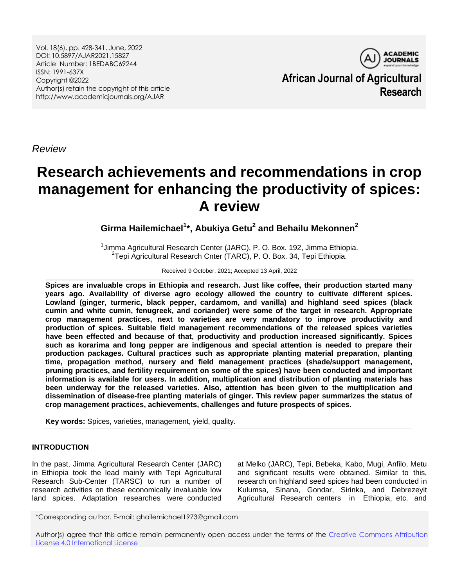Vol. 18(6), pp. 428-341, June, 2022 DOI: 10.5897/AJAR2021.15827 Article Number: 1BEDABC69244 ISSN: 1991-637X Copyright ©2022 Author(s) retain the copyright of this article http://www.academicjournals.org/AJAR

**ACADEMIC JOURNALS African Journal of Agricultural Research**

*Review*

# **Research achievements and recommendations in crop management for enhancing the productivity of spices: A review**

**Girma Hailemichael<sup>1</sup> \*, Abukiya Getu<sup>2</sup> and Behailu Mekonnen<sup>2</sup>**

<sup>1</sup>Jimma Agricultural Research Center (JARC), P. O. Box. 192, Jimma Ethiopia. 2 Tepi Agricultural Research Cnter (TARC), P. O. Box. 34, Tepi Ethiopia.

Received 9 October, 2021; Accepted 13 April, 2022

**Spices are invaluable crops in Ethiopia and research. Just like coffee, their production started many years ago. Availability of diverse agro ecology allowed the country to cultivate different spices. Lowland (ginger, turmeric, black pepper, cardamom, and vanilla) and highland seed spices (black cumin and white cumin, fenugreek, and coriander) were some of the target in research. Appropriate crop management practices, next to varieties are very mandatory to improve productivity and production of spices. Suitable field management recommendations of the released spices varieties have been effected and because of that, productivity and production increased significantly. Spices such as korarima and long pepper are indigenous and special attention is needed to prepare their production packages. Cultural practices such as appropriate planting material preparation, planting time, propagation method, nursery and field management practices (shade/support management, pruning practices, and fertility requirement on some of the spices) have been conducted and important information is available for users. In addition, multiplication and distribution of planting materials has been underway for the released varieties. Also, attention has been given to the multiplication and dissemination of disease-free planting materials of ginger. This review paper summarizes the status of crop management practices, achievements, challenges and future prospects of spices.** 

**Key words:** Spices, varieties, management, yield, quality.

## **INTRODUCTION**

In the past, Jimma Agricultural Research Center (JARC) in Ethiopia took the lead mainly with Tepi Agricultural Research Sub-Center (TARSC) to run a number of research activities on these economically invaluable low land spices. Adaptation researches were conducted

at Melko (JARC), Tepi, Bebeka, Kabo, Mugi, Anfilo, Metu and significant results were obtained. Similar to this, research on highland seed spices had been conducted in Kulumsa, Sinana, Gondar, Sirinka, and Debrezeyit Agricultural Research centers in Ethiopia, etc. and

\*Corresponding author. E-mail: ghailemichael1973@gmail.com

Author(s) agree that this article remain permanently open access under the terms of the Creative Commons Attribution [License 4.0 International License](http://creativecommons.org/licenses/by/4.0/deed.en_US)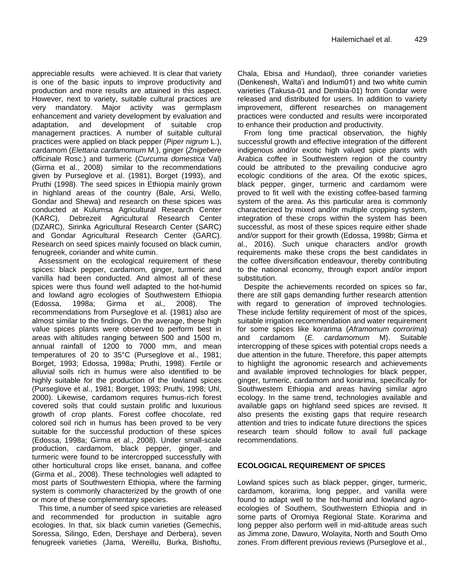appreciable results were achieved. It is clear that variety is one of the basic inputs to improve productivity and production and more results are attained in this aspect. However, next to variety, suitable cultural practices are very mandatory. Major activity was germplasm enhancement and variety development by evaluation and adaptation, and development of suitable crop management practices. A number of suitable cultural practices were applied on black pepper (*Piper nigrum* L.), cardamom (*Elettaria cardamomum* M.), ginger (*Znigebere officinale* Rosc.) and turmeric (*Curcuma domestica* Val) (Girma et al., 2008) similar to the recommendations given by Purseglove et al. (1981), Borget (1993), and Pruthi (1998). The seed spices in Ethiopia mainly grown in highland areas of the country (Bale, Arsi, Wello, Gondar and Shewa) and research on these spices was conducted at Kulumsa Agricultural Research Center (KARC), Debrezeit Agricultural Research Center (DZARC), Sirinka Agricultural Research Center (SARC) and Gondar Agricultural Research Center (GARC). Research on seed spices mainly focused on black cumin, fenugreek, coriander and white cumin.

Assessment on the ecological requirement of these spices: black pepper, cardamom, ginger, turmeric and vanilla had been conducted. And almost all of these spices were thus found well adapted to the hot-humid and lowland agro ecologies of Southwestern Ethiopia (Edossa, 1998a; Girma et al., 2008). The recommendations from Purseglove et al. (1981) also are almost similar to the findings. On the average, these high value spices plants were observed to perform best in areas with altitudes ranging between 500 and 1500 m, annual rainfall of 1200 to 7000 mm, and mean temperatures of 20 to 35°C (Purseglove et al., 1981; Borget, 1993; Edossa, 1998a; Pruthi, 1998). Fertile or alluvial soils rich in humus were also identified to be highly suitable for the production of the lowland spices (Purseglove et al., 1981; Borget, 1993; Pruthi, 1998; Uhl, 2000). Likewise, cardamom requires humus-rich forest covered soils that could sustain prolific and luxurious growth of crop plants. Forest coffee chocolate, red colored soil rich in humus has been proved to be very suitable for the successful production of these spices (Edossa, 1998a; Girma et al., 2008). Under small-scale production, cardamom, black pepper, ginger, and turmeric were found to be intercropped successfully with other horticultural crops like enset, banana, and coffee (Girma et al., 2008). These technologies well adapted to most parts of Southwestern Ethiopia, where the farming system is commonly characterized by the growth of one or more of these complementary species.

This time, a number of seed spice varieties are released and recommended for production in suitable agro ecologies. In that, six black cumin varieties (Gemechis, Soressa, Silingo, Eden, Dershaye and Derbera), seven fenugreek varieties (Jama, Wereillu, Burka, Bishoftu,

Chala, Ebisa and Hundaol), three coriander varieties (Denkenesh, Walta'i and Indium01) and two white cumin varieties (Takusa-01 and Dembia-01) from Gondar were released and distributed for users. In addition to variety improvement, different researches on management practices were conducted and results were incorporated to enhance their production and productivity.

From long time practical observation, the highly successful growth and effective integration of the different indigenous and/or exotic high valued spice plants with Arabica coffee in Southwestern region of the country could be attributed to the prevailing conducive agro ecologic conditions of the area. Of the exotic spices, black pepper, ginger, turmeric and cardamom were proved to fit well with the existing coffee-based farming system of the area. As this particular area is commonly characterized by mixed and/or multiple cropping system, integration of these crops within the system has been successful, as most of these spices require either shade and/or support for their growth (Edossa, 1998b; Girma et al., 2016). Such unique characters and/or growth requirements make these crops the best candidates in the coffee diversification endeavour, thereby contributing to the national economy, through export and/or import substitution.

Despite the achievements recorded on spices so far, there are still gaps demanding further research attention with regard to generation of improved technologies. These include fertility requirement of most of the spices, suitable irrigation recommendation and water requirement for some spices like korarima (*Aframomum corrorima*) and cardamom (*E. cardamomum* M). Suitable intercropping of these spices with potential crops needs a due attention in the future. Therefore, this paper attempts to highlight the agronomic research and achievements and available improved technologies for black pepper, ginger, turmeric, cardamom and korarima, specifically for Southwestern Ethiopia and areas having similar agro ecology. In the same trend, technologies available and available gaps on highland seed spices are revised. It also presents the existing gaps that require research attention and tries to indicate future directions the spices research team should follow to avail full package recommendations.

## **ECOLOGICAL REQUIREMENT OF SPICES**

Lowland spices such as black pepper, ginger, turmeric, cardamom, korarima, long pepper, and vanilla were found to adapt well to the hot-humid and lowland agroecologies of Southern, Southwestern Ethiopia and in some parts of Oromiya Regional State. Korarima and long pepper also perform well in mid-altitude areas such as Jimma zone, Dawuro, Wolayita, North and South Omo zones. From different previous reviews (Purseglove et al.,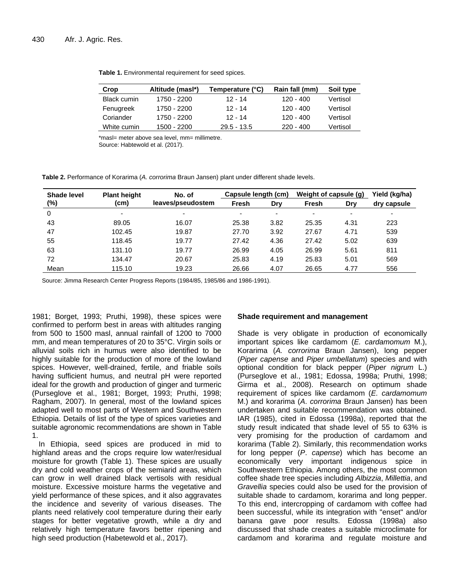| Table 1. Environmental requirement for seed spices. |  |
|-----------------------------------------------------|--|
|-----------------------------------------------------|--|

| Crop               | Altitude (masl*) | Temperature (°C) | Rain fall (mm) | Soil type |
|--------------------|------------------|------------------|----------------|-----------|
| <b>Black cumin</b> | 1750 - 2200      | $12 - 14$        | $120 - 400$    | Vertisol  |
| Fenugreek          | 1750 - 2200      | $12 - 14$        | $120 - 400$    | Vertisol  |
| Coriander          | 1750 - 2200      | $12 - 14$        | $120 - 400$    | Vertisol  |
| White cumin        | 1500 - 2200      | $29.5 - 13.5$    | $220 - 400$    | Vertisol  |

\*masl= meter above sea level, mm= millimetre.

Source: Habtewold et al. (2017).

**Table 2.** Performance of Korarima (*A. corrorima* Braun Jansen) plant under different shade levels.

| Shade level | <b>Plant height</b> | No. of            | Capsule length (cm) |      | Weight of capsule (g)    |      | Yield (kg/ha)            |
|-------------|---------------------|-------------------|---------------------|------|--------------------------|------|--------------------------|
| (%)         | (cm)                | leaves/pseudostem | Fresh               | Drv  | Fresh                    | Drv  | dry capsule              |
| 0           |                     | -                 |                     |      | $\overline{\phantom{0}}$ |      | $\overline{\phantom{0}}$ |
| 43          | 89.05               | 16.07             | 25.38               | 3.82 | 25.35                    | 4.31 | 223                      |
| 47          | 102.45              | 19.87             | 27.70               | 3.92 | 27.67                    | 4.71 | 539                      |
| 55          | 118.45              | 19.77             | 27.42               | 4.36 | 27.42                    | 5.02 | 639                      |
| 63          | 131.10              | 19.77             | 26.99               | 4.05 | 26.99                    | 5.61 | 811                      |
| 72          | 134.47              | 20.67             | 25.83               | 4.19 | 25.83                    | 5.01 | 569                      |
| Mean        | 115.10              | 19.23             | 26.66               | 4.07 | 26.65                    | 4.77 | 556                      |

Source: Jimma Research Center Progress Reports (1984/85, 1985/86 and 1986-1991).

1981; Borget, 1993; Pruthi, 1998), these spices were confirmed to perform best in areas with altitudes ranging from 500 to 1500 masl, annual rainfall of 1200 to 7000 mm, and mean temperatures of 20 to 35°C. Virgin soils or alluvial soils rich in humus were also identified to be highly suitable for the production of more of the lowland spices. However, well-drained, fertile, and friable soils having sufficient humus, and neutral pH were reported ideal for the growth and production of ginger and turmeric (Purseglove et al., 1981; Borget, 1993; Pruthi, 1998; Ragham, 2007). In general, most of the lowland spices adapted well to most parts of Western and Southwestern Ethiopia. Details of list of the type of spices varieties and suitable agronomic recommendations are shown in Table 1.

In Ethiopia, seed spices are produced in mid to highland areas and the crops require low water/residual moisture for growth (Table 1). These spices are usually dry and cold weather crops of the semiarid areas, which can grow in well drained black vertisols with residual moisture. Excessive moisture harms the vegetative and yield performance of these spices, and it also aggravates the incidence and severity of various diseases. The plants need relatively cool temperature during their early stages for better vegetative growth, while a dry and relatively high temperature favors better ripening and high seed production (Habetewold et al., 2017).

#### **Shade requirement and management**

Shade is very obligate in production of economically important spices like cardamom (*E. cardamomum* M.), Korarima (*A. corrorima* Braun Jansen), long pepper (*Piper capense* and *Piper umbellatum*) species and with optional condition for black pepper (*Piper nigrum* L.) (Purseglove et al., 1981; Edossa, 1998a; Pruthi, 1998; Girma et al., 2008). Research on optimum shade requirement of spices like cardamom (*E. cardamomum* M.) and korarima (*A*. *corrorima* Braun Jansen) has been undertaken and suitable recommendation was obtained. IAR (1985), cited in Edossa (1998a), reported that the study result indicated that shade level of 55 to 63% is very promising for the production of cardamom and korarima (Table 2). Similarly, this recommendation works for long pepper (*P*. *capense*) which has become an economically very important indigenous spice in Southwestern Ethiopia. Among others, the most common coffee shade tree species including *Albizzia*, *Millettia*, and *Gravellia* species could also be used for the provision of suitable shade to cardamom, korarima and long pepper. To this end, intercropping of cardamom with coffee had been successful, while its integration with "enset" and/or banana gave poor results. Edossa (1998a) also discussed that shade creates a suitable microclimate for cardamom and korarima and regulate moisture and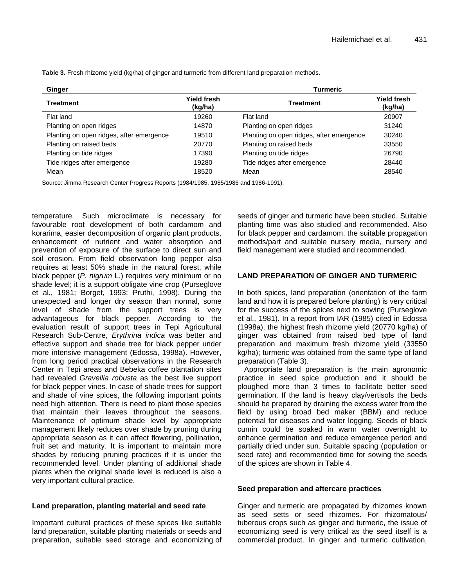| Ginger                                   |                               | Turmeric                                 |                               |  |  |
|------------------------------------------|-------------------------------|------------------------------------------|-------------------------------|--|--|
| Treatment                                | <b>Yield fresh</b><br>(kg/ha) | <b>Treatment</b>                         | <b>Yield fresh</b><br>(kg/ha) |  |  |
| Flat land                                | 19260                         | Flat land                                | 20907                         |  |  |
| Planting on open ridges                  | 14870                         | Planting on open ridges                  | 31240                         |  |  |
| Planting on open ridges, after emergence | 19510                         | Planting on open ridges, after emergence | 30240                         |  |  |
| Planting on raised beds                  | 20770                         | Planting on raised beds                  | 33550                         |  |  |
| Planting on tide ridges                  | 17390                         | Planting on tide ridges                  | 26790                         |  |  |
| Tide ridges after emergence              | 19280                         | Tide ridges after emergence              | 28440                         |  |  |
| Mean                                     | 18520                         | Mean                                     | 28540                         |  |  |

**Table 3.** Fresh rhizome yield (kg/ha) of ginger and turmeric from different land preparation methods.

Source: Jimma Research Center Progress Reports (1984/1985, 1985/1986 and 1986-1991).

temperature. Such microclimate is necessary for favourable root development of both cardamom and korarima, easier decomposition of organic plant products, enhancement of nutrient and water absorption and prevention of exposure of the surface to direct sun and soil erosion. From field observation long pepper also requires at least 50% shade in the natural forest, while black pepper (*P. nigrum* L.) requires very minimum or no shade level; it is a support obligate vine crop (Purseglove et al., 1981; Borget, 1993; Pruthi, 1998). During the unexpected and longer dry season than normal, some level of shade from the support trees is very advantageous for black pepper. According to the evaluation result of support trees in Tepi Agricultural Research Sub-Centre, *Erythrina indica* was better and effective support and shade tree for black pepper under more intensive management (Edossa, 1998a). However, from long period practical observations in the Research Center in Tepi areas and Bebeka coffee plantation sites had revealed *Gravellia robusta* as the best live support for black pepper vines. In case of shade trees for support and shade of vine spices, the following important points need high attention. There is need to plant those species that maintain their leaves throughout the seasons. Maintenance of optimum shade level by appropriate management likely reduces over shade by pruning during appropriate season as it can affect flowering, pollination, fruit set and maturity. It is important to maintain more shades by reducing pruning practices if it is under the recommended level. Under planting of additional shade plants when the original shade level is reduced is also a very important cultural practice.

#### **Land preparation, planting material and seed rate**

Important cultural practices of these spices like suitable land preparation, suitable planting materials or seeds and preparation, suitable seed storage and economizing of

seeds of ginger and turmeric have been studied. Suitable planting time was also studied and recommended. Also for black pepper and cardamom, the suitable propagation methods/part and suitable nursery media, nursery and field management were studied and recommended.

#### **LAND PREPARATION OF GINGER AND TURMERIC**

In both spices, land preparation (orientation of the farm land and how it is prepared before planting) is very critical for the success of the spices next to sowing (Purseglove et al., 1981). In a report from IAR (1985) cited in Edossa (1998a), the highest fresh rhizome yield (20770 kg/ha) of ginger was obtained from raised bed type of land preparation and maximum fresh rhizome yield (33550 kg/ha); turmeric was obtained from the same type of land preparation (Table 3).

Appropriate land preparation is the main agronomic practice in seed spice production and it should be ploughed more than 3 times to facilitate better seed germination. If the land is heavy clay/vertisols the beds should be prepared by draining the excess water from the field by using broad bed maker (BBM) and reduce potential for diseases and water logging. Seeds of black cumin could be soaked in warm water overnight to enhance germination and reduce emergence period and partially dried under sun. Suitable spacing (population or seed rate) and recommended time for sowing the seeds of the spices are shown in Table 4.

#### **Seed preparation and aftercare practices**

Ginger and turmeric are propagated by rhizomes known as seed setts or seed rhizomes. For rhizomatous/ tuberous crops such as ginger and turmeric, the issue of economizing seed is very critical as the seed itself is a commercial product. In ginger and turmeric cultivation,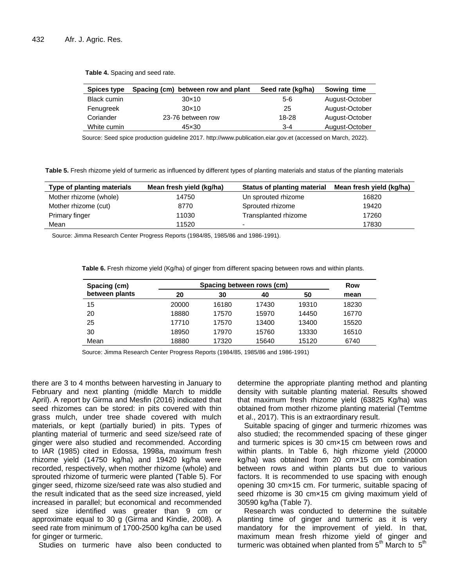| <b>Spices type</b> | Spacing (cm) between row and plant | Seed rate (kg/ha) | Sowing time    |
|--------------------|------------------------------------|-------------------|----------------|
| <b>Black cumin</b> | $30\times10$                       | 5-6               | August-October |
| Fenugreek          | $30\times10$                       | 25                | August-October |
| Coriander          | 23-76 between row                  | 18-28             | August-October |
| White cumin        | 45×30                              | $3 - 4$           | August-October |

**Table 4.** Spacing and seed rate.

Source: Seed spice production guideline 2017. http://www.publication.eiar.gov.et (accessed on March, 2022).

**Table 5.** Fresh rhizome yield of turmeric as influenced by different types of planting materials and status of the planting materials

| Type of planting materials | Mean fresh yield (kg/ha) | <b>Status of planting material</b> | Mean fresh yield (kg/ha) |
|----------------------------|--------------------------|------------------------------------|--------------------------|
| Mother rhizome (whole)     | 14750                    | Un sprouted rhizome                | 16820                    |
| Mother rhizome (cut)       | 8770                     | Sprouted rhizome                   | 19420                    |
| Primary finger             | 11030                    | Transplanted rhizome               | 17260                    |
| Mean                       | 11520                    |                                    | 17830                    |

Source: Jimma Research Center Progress Reports (1984/85, 1985/86 and 1986-1991).

**Table 6.** Fresh rhizome yield (Kg/ha) of ginger from different spacing between rows and within plants.

| Spacing (cm)   |       | Spacing between rows (cm) |       |       |       |  |
|----------------|-------|---------------------------|-------|-------|-------|--|
| between plants | 20    | 30                        | 40    | 50    | mean  |  |
| 15             | 20000 | 16180                     | 17430 | 19310 | 18230 |  |
| 20             | 18880 | 17570                     | 15970 | 14450 | 16770 |  |
| 25             | 17710 | 17570                     | 13400 | 13400 | 15520 |  |
| 30             | 18950 | 17970                     | 15760 | 13330 | 16510 |  |
| Mean           | 18880 | 17320                     | 15640 | 15120 | 6740  |  |

Source: Jimma Research Center Progress Reports (1984/85, 1985/86 and 1986-1991)

there are 3 to 4 months between harvesting in January to February and next planting (middle March to middle April). A report by Girma and Mesfin (2016) indicated that seed rhizomes can be stored: in pits covered with thin grass mulch, under tree shade covered with mulch materials, or kept (partially buried) in pits. Types of planting material of turmeric and seed size/seed rate of ginger were also studied and recommended. According to IAR (1985) cited in Edossa, 1998a, maximum fresh rhizome yield (14750 kg/ha) and 19420 kg/ha were recorded, respectively, when mother rhizome (whole) and sprouted rhizome of turmeric were planted (Table 5). For ginger seed, rhizome size/seed rate was also studied and the result indicated that as the seed size increased, yield increased in parallel; but economical and recommended seed size identified was greater than 9 cm or approximate equal to 30 g (Girma and Kindie, 2008). A seed rate from minimum of 1700-2500 kg/ha can be used for ginger or turmeric.

Studies on turmeric have also been conducted to

determine the appropriate planting method and planting density with suitable planting material. Results showed that maximum fresh rhizome yield (63825 Kg/ha) was obtained from mother rhizome planting material (Temtme et al., 2017). This is an extraordinary result.

Suitable spacing of ginger and turmeric rhizomes was also studied; the recommended spacing of these ginger and turmeric spices is 30 cm×15 cm between rows and within plants. In Table 6, high rhizome yield (20000 kg/ha) was obtained from 20 cm×15 cm combination between rows and within plants but due to various factors. It is recommended to use spacing with enough opening 30 cm×15 cm. For turmeric, suitable spacing of seed rhizome is 30 cm×15 cm giving maximum yield of 30590 kg/ha (Table 7).

Research was conducted to determine the suitable planting time of ginger and turmeric as it is very mandatory for the improvement of yield. In that, maximum mean fresh rhizome yield of ginger and turmeric was obtained when planted from  $5<sup>th</sup>$  March to  $5<sup>th</sup>$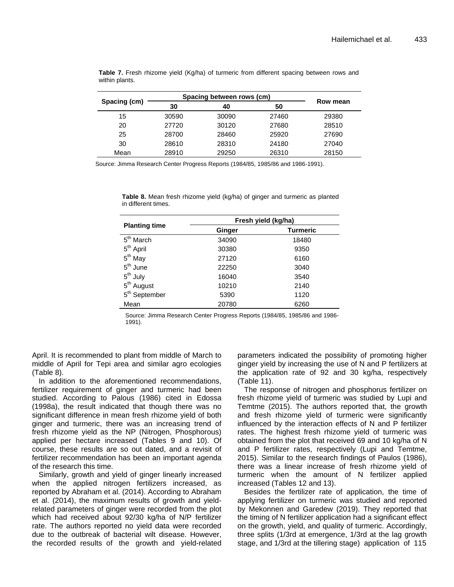|              |       | Spacing between rows (cm) |       |          |
|--------------|-------|---------------------------|-------|----------|
| Spacing (cm) | 30    | 40                        | 50    | Row mean |
| 15           | 30590 | 30090                     | 27460 | 29380    |
| 20           | 27720 | 30120                     | 27680 | 28510    |
| 25           | 28700 | 28460                     | 25920 | 27690    |
| 30           | 28610 | 28310                     | 24180 | 27040    |
| Mean         | 28910 | 29250                     | 26310 | 28150    |

**Table 7.** Fresh rhizome yield (Kg/ha) of turmeric from different spacing between rows and within plants.

Source: Jimma Research Center Progress Reports (1984/85, 1985/86 and 1986-1991).

|                           | Fresh yield (kg/ha) |          |  |  |
|---------------------------|---------------------|----------|--|--|
| <b>Planting time</b>      | Ginger              | Turmeric |  |  |
| 5 <sup>th</sup> March     | 34090               | 18480    |  |  |
| 5 <sup>th</sup> April     | 30380               | 9350     |  |  |
| $5th$ May                 | 27120               | 6160     |  |  |
| $5th$ June                | 22250               | 3040     |  |  |
| $5th$ July                | 16040               | 3540     |  |  |
| 5 <sup>th</sup> August    | 10210               | 2140     |  |  |
| 5 <sup>th</sup> September | 5390                | 1120     |  |  |
| Mean                      | 20780               | 6260     |  |  |

**Table 8.** Mean fresh rhizome yield (kg/ha) of ginger and turmeric as planted in different times.

Source: Jimma Research Center Progress Reports (1984/85, 1985/86 and 1986- 1991).

April. It is recommended to plant from middle of March to middle of April for Tepi area and similar agro ecologies (Table 8).

In addition to the aforementioned recommendations, fertilizer requirement of ginger and turmeric had been studied. According to Palous (1986) cited in Edossa (1998a), the result indicated that though there was no significant difference in mean fresh rhizome yield of both ginger and turmeric, there was an increasing trend of fresh rhizome yield as the NP (Nitrogen, Phosphorous) applied per hectare increased (Tables 9 and 10). Of course, these results are so out dated, and a revisit of fertilizer recommendation has been an important agenda of the research this time.

Similarly, growth and yield of ginger linearly increased when the applied nitrogen fertilizers increased, as reported by Abraham et al. (2014). According to Abraham et al. (2014), the maximum results of growth and yieldrelated parameters of ginger were recorded from the plot which had received about 92/30 kg/ha of N/P fertilizer rate. The authors reported no yield data were recorded due to the outbreak of bacterial wilt disease. However, the recorded results of the growth and yield-related parameters indicated the possibility of promoting higher ginger yield by increasing the use of N and P fertilizers at the application rate of 92 and 30 kg/ha, respectively (Table 11).

The response of nitrogen and phosphorus fertilizer on fresh rhizome yield of turmeric was studied by Lupi and Temtme (2015). The authors reported that, the growth and fresh rhizome yield of turmeric were significantly influenced by the interaction effects of N and P fertilizer rates. The highest fresh rhizome yield of turmeric was obtained from the plot that received 69 and 10 kg/ha of N and P fertilizer rates, respectively (Lupi and Temtme, 2015). Similar to the research findings of Paulos (1986), there was a linear increase of fresh rhizome yield of turmeric when the amount of N fertilizer applied increased (Tables 12 and 13).

Besides the fertilizer rate of application, the time of applying fertilizer on turmeric was studied and reported by Mekonnen and Garedew (2019). They reported that the timing of N fertilizer application had a significant effect on the growth, yield, and quality of turmeric. Accordingly, three splits (1/3rd at emergence, 1/3rd at the lag growth stage, and 1/3rd at the tillering stage) application of 115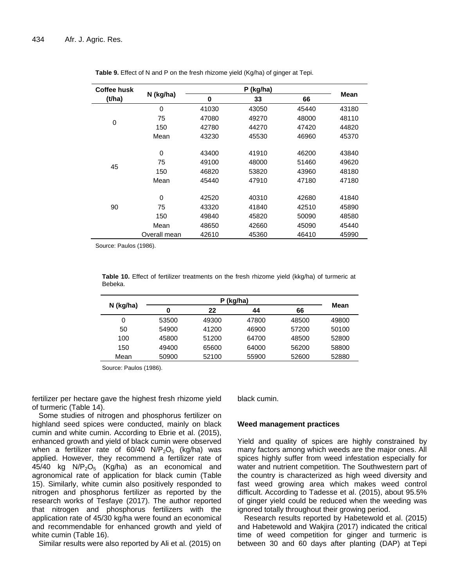| Coffee husk |                        |                                  | P (kg/ha)                        |                                  |                                  |
|-------------|------------------------|----------------------------------|----------------------------------|----------------------------------|----------------------------------|
| (t/ha)      | N (kg/ha)              | 0                                | 33                               | 66                               | <b>Mean</b>                      |
|             | $\Omega$               | 41030                            | 43050                            | 45440                            | 43180                            |
| 0           | 75                     | 47080                            | 49270                            | 48000                            | 48110                            |
|             | 150                    | 42780                            | 44270                            | 47420                            | 44820                            |
|             | Mean                   | 43230                            | 45530                            | 46960                            | 45370                            |
| 45          | 0<br>75<br>150<br>Mean | 43400<br>49100<br>46820<br>45440 | 41910<br>48000<br>53820<br>47910 | 46200<br>51460<br>43960<br>47180 | 43840<br>49620<br>48180<br>47180 |
| 90          | 0<br>75<br>150<br>Mean | 42520<br>43320<br>49840<br>48650 | 40310<br>41840<br>45820<br>42660 | 42680<br>42510<br>50090<br>45090 | 41840<br>45890<br>48580<br>45440 |
|             | Overall mean           | 42610                            | 45360                            | 46410                            | 45990                            |

**Table 9.** Effect of N and P on the fresh rhizome yield (Kg/ha) of ginger at Tepi.

Source: Paulos (1986).

**Table 10.** Effect of fertilizer treatments on the fresh rhizome yield (kkg/ha) of turmeric at Bebeka.

| N (kg/ha) | 0     | 22    | 44    | 66    | Mean  |
|-----------|-------|-------|-------|-------|-------|
| 0         | 53500 | 49300 | 47800 | 48500 | 49800 |
| 50        | 54900 | 41200 | 46900 | 57200 | 50100 |
| 100       | 45800 | 51200 | 64700 | 48500 | 52800 |
| 150       | 49400 | 65600 | 64000 | 56200 | 58800 |
| Mean      | 50900 | 52100 | 55900 | 52600 | 52880 |

Source: Paulos (1986).

fertilizer per hectare gave the highest fresh rhizome yield of turmeric (Table 14).

Some studies of nitrogen and phosphorus fertilizer on highland seed spices were conducted, mainly on black cumin and white cumin. According to Ebrie et al. (2015), enhanced growth and yield of black cumin were observed when a fertilizer rate of  $60/40$  N/P<sub>2</sub>O<sub>5</sub> (kg/ha) was applied. However, they recommend a fertilizer rate of 45/40 kg  $N/P<sub>2</sub>O<sub>5</sub>$  (Kg/ha) as an economical and agronomical rate of application for black cumin (Table 15). Similarly, white cumin also positively responded to nitrogen and phosphorus fertilizer as reported by the research works of Tesfaye (2017). The author reported that nitrogen and phosphorus fertilizers with the application rate of 45/30 kg/ha were found an economical and recommendable for enhanced growth and yield of white cumin (Table 16).

Similar results were also reported by Ali et al. (2015) on

black cumin.

#### **Weed management practices**

Yield and quality of spices are highly constrained by many factors among which weeds are the major ones. All spices highly suffer from weed infestation especially for water and nutrient competition. The Southwestern part of the country is characterized as high weed diversity and fast weed growing area which makes weed control difficult. According to Tadesse et al. (2015), about 95.5% of ginger yield could be reduced when the weeding was ignored totally throughout their growing period.

Research results reported by Habetewold et al. (2015) and Habetewold and Wakjira (2017) indicated the critical time of weed competition for ginger and turmeric is between 30 and 60 days after planting (DAP) at Tepi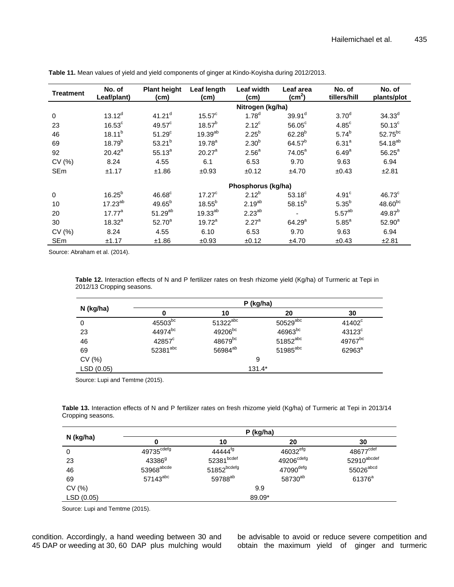| Treatment   | No. of<br>Leaf/plant) | <b>Plant height</b><br>(cm) | Leaf length<br>(cm) | Leaf width<br>(cm) | Leaf area<br>(cm <sup>2</sup> ) | No. of<br>tillers/hill | No. of<br>plants/plot |  |
|-------------|-----------------------|-----------------------------|---------------------|--------------------|---------------------------------|------------------------|-----------------------|--|
|             |                       |                             | Nitrogen (kg/ha)    |                    |                                 |                        |                       |  |
| $\mathbf 0$ | $13.12^{d}$           | $41.21$ <sup>d</sup>        | $15.57^{\circ}$     | $1.78^{d}$         | 39.91 <sup>d</sup>              | 3.70 <sup>d</sup>      | $34.33^{d}$           |  |
| 23          | $16.53^{\circ}$       | $49.57^{\circ}$             | $18.57^{b}$         | $2.12^c$           | $56.05^{\circ}$                 | $4.85^{\circ}$         | $50.13^c$             |  |
| 46          | $18.11^{b}$           | 51.29 <sup>c</sup>          | 19.39 <sup>ab</sup> | $2.25^{b}$         | $62.28^{b}$                     | $5.74^{b}$             | 52.75 <sup>bc</sup>   |  |
| 69          | $18.79^{b}$           | $53.21^{b}$                 | $19.78^{a}$         | 2.30 <sup>b</sup>  | $64.57^{b}$                     | 6.31 <sup>a</sup>      | $54.18^{ab}$          |  |
| 92          | $20.42^a$             | $55.13^{a}$                 | 20.27 <sup>a</sup>  | 2.56 <sup>a</sup>  | $74.05^a$                       | 6.49 <sup>a</sup>      | $56.25^a$             |  |
| CV(%)       | 8.24                  | 4.55                        | 6.1                 | 6.53               | 9.70                            | 9.63                   | 6.94                  |  |
| <b>SEm</b>  | ±1.17                 | ±1.86                       | ±0.93               | ±0.12              | ±4.70                           | ±0.43                  | ±2.81                 |  |
|             |                       |                             |                     | Phosphorus (kg/ha) |                                 |                        |                       |  |
| $\mathbf 0$ | $16.25^{b}$           | $46.68^{\circ}$             | $17.27^c$           | $2.12^{b}$         | $53.18^{\circ}$                 | 4.91 <sup>c</sup>      | $46.73^{\circ}$       |  |
| 10          | $17.23^{ab}$          | $49.65^{b}$                 | $18.55^{b}$         | $2.19^{ab}$        | $58.15^{b}$                     | $5.35^{b}$             | $48.60^{bc}$          |  |
| 20          | $17.77^{\circ}$       | $51.29^{ab}$                | $19.33^{ab}$        | $2.23^{ab}$        |                                 | 5.57 <sup>ab</sup>     | $49.87^{b}$           |  |
| 30          | $18.32^{a}$           | $52.70^{a}$                 | $19.72^a$           | 2.27 <sup>a</sup>  | $64.29^{a}$                     | $5.85^a$               | $52.90^{a}$           |  |
| CV(%)       | 8.24                  | 4.55                        | 6.10                | 6.53               | 9.70                            | 9.63                   | 6.94                  |  |
| <b>SEm</b>  | ±1.17                 | ±1.86                       | ±0.93               | ±0.12              | ±4.70                           | ±0.43                  | ±2.81                 |  |

**Table 11.** Mean values of yield and yield components of ginger at Kindo-Koyisha during 2012/2013.

Source: Abraham et al. (2014).

**Table 12.** Interaction effects of N and P fertilizer rates on fresh rhizome yield (Kg/ha) of Turmeric at Tepi in 2012/13 Cropping seasons.

|            | P (kg/ha)           |                     |                        |                      |  |  |
|------------|---------------------|---------------------|------------------------|----------------------|--|--|
| N (kg/ha)  |                     | 10                  | 20                     | 30                   |  |  |
| 0          | 45503 <sub>bc</sub> | $51322^{abc}$       | $50529$ <sup>abc</sup> | 41402 <sup>c</sup>   |  |  |
| 23         | 44974bc             | 49206 <sup>bc</sup> | 46963bc                | $43123$ <sup>c</sup> |  |  |
| 46         | $42857^{\circ}$     | 48679bc             | $51852^{abc}$          | 49767 <sup>bc</sup>  |  |  |
| 69         | 52381abc            | 56984 <sup>ab</sup> | $51985$ <sup>abc</sup> | 62963ª               |  |  |
| CV (%)     |                     |                     | 9                      |                      |  |  |
| LSD (0.05) |                     |                     | $131.4*$               |                      |  |  |

Source: Lupi and Temtme (2015).

**Table 13.** Interaction effects of N and P fertilizer rates on fresh rhizome yield (Kg/ha) of Turmeric at Tepi in 2013/14 Cropping seasons.

|            | P (kg/ha)              |                           |                        |                         |  |  |  |
|------------|------------------------|---------------------------|------------------------|-------------------------|--|--|--|
| N (kg/ha)  |                        | 10                        | 20                     | 30                      |  |  |  |
| 0          | 49735 <sup>cdefg</sup> | 44444 <sup>tg</sup>       | 46032 <sup>efg</sup>   | 48677 <sup>cdef</sup>   |  |  |  |
| 23         | $43386^{9}$            | 52381bcdef                | 49206 <sup>cdefg</sup> | 52910 <sup>abcdef</sup> |  |  |  |
| 46         | 53968 <sup>abcde</sup> | $51852^{\mathrm{bcdefg}}$ | 47090defg              | 55026abcd               |  |  |  |
| 69         | 57143abc               | 59788 <sup>ab</sup>       | 58730 <sup>ab</sup>    | 61376 <sup>a</sup>      |  |  |  |
| CV (%)     |                        |                           | 9.9                    |                         |  |  |  |
| LSD (0.05) |                        |                           | 89.09*                 |                         |  |  |  |

Source: Lupi and Temtme (2015).

condition. Accordingly, a hand weeding between 30 and 45 DAP or weeding at 30, 60 DAP plus mulching would be advisable to avoid or reduce severe competition and obtain the maximum yield of ginger and turmeric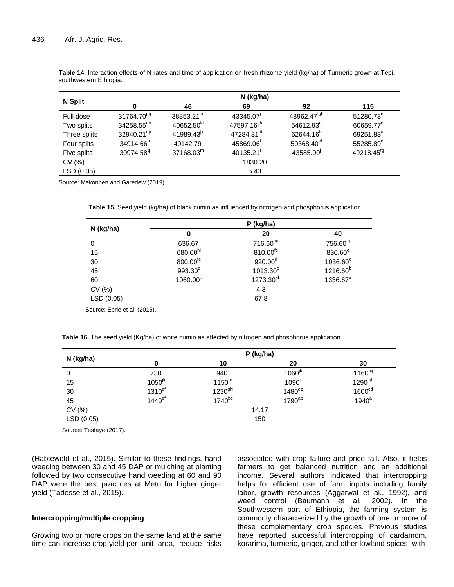|                | N (kg/ha)              |                        |                         |                         |                        |  |  |  |
|----------------|------------------------|------------------------|-------------------------|-------------------------|------------------------|--|--|--|
| <b>N</b> Split | 0                      | 46                     | 69                      | 92                      | 115                    |  |  |  |
| Full dose      | 31764.70 <sup>pq</sup> | $38853.21^{lm}$        | 43345.07                | 48962.47 <sup>fgh</sup> | 51280.73 <sup>e</sup>  |  |  |  |
| Two splits     | $34258.55^{no}$        | 40652.50 <sup>kl</sup> | 47597.16 <sup>ghi</sup> | 54612.93 <sup>d</sup>   | 60659.77 <sup>c</sup>  |  |  |  |
| Three splits   | 32940.21 <sup>op</sup> | 41989.43 <sup>jk</sup> | 47284.31 <sup>hi</sup>  | 62644.16 <sup>b</sup>   | 69251.83 <sup>a</sup>  |  |  |  |
| Four splits    | 34914.66 <sup>n</sup>  | 40142.79               | 45869.06                | 50368.40 <sup>ef</sup>  | 55285.89 <sup>d</sup>  |  |  |  |
| Five splits    | 30974.58 <sup>q</sup>  | 37168.03 <sup>m</sup>  | 40135.21                | 43585.00                | 49218.45 <sup>fg</sup> |  |  |  |
| CV(%)          | 1830.20                |                        |                         |                         |                        |  |  |  |
| LSD (0.05)     |                        |                        | 5.43                    |                         |                        |  |  |  |

**Table 14.** Interaction effects of N rates and time of application on fresh rhizome yield (kg/ha) of Turmeric grown at Tepi, southwestern Ethiopia.

Source: Mekonnen and Garedew (2019).

**Table 15.** Seed yield (kg/ha) of black cumin as influenced by nitrogen and phosphorus application.

|           | P (kg/ha)         |                       |                      |  |  |  |
|-----------|-------------------|-----------------------|----------------------|--|--|--|
| N (kg/ha) | 0                 | 20                    | 40                   |  |  |  |
| 0         | 636.67            | 716.60hg              | 756.60 <sup>fg</sup> |  |  |  |
| 15        | 680.00hi          | 810.00 <sup>fe</sup>  | 836.60 <sup>e</sup>  |  |  |  |
| 30        | 800.00fe          | 920.00 <sup>d</sup>   | 1036.60°             |  |  |  |
| 45        | 993.30°           | $1013.30^{\circ}$     | $1216.60^{b}$        |  |  |  |
| 60        | $1060.00^{\circ}$ | 1273.30 <sup>ab</sup> | 1336.67 <sup>a</sup> |  |  |  |
| CV(%)     |                   | 4.3                   |                      |  |  |  |
| LSD(0.05) |                   | 67.8                  |                      |  |  |  |

Source: Ebrie et al. (2015).

**Table 16.** The seed yield (Kg/ha) of white cumin as affected by nitrogen and phosphorus application.

|           | P (kg/ha)            |                     |                      |                     |  |  |
|-----------|----------------------|---------------------|----------------------|---------------------|--|--|
| N (kg/ha) |                      | 10                  | 20                   | 30                  |  |  |
| 0         | 730'                 | 940 <sup>k</sup>    | 1060 <sup>jk</sup>   | 1160 <sup>hij</sup> |  |  |
| 15        | $1050^{jk}$          | 1150 <sup>hij</sup> | $1090$ <sup>ij</sup> | $1290^{fgh}$        |  |  |
| 30        | 1310 <sup>ef</sup>   | 1230 <sup>ghi</sup> | $1480$ <sup>de</sup> | 1600 <sup>cd</sup>  |  |  |
| 45        | $1440$ <sup>ef</sup> | $1740^{bc}$         | 1790 <sup>ab</sup>   | $1940^a$            |  |  |
| CV (%)    |                      |                     | 14.17                |                     |  |  |
| LSD(0.05) |                      |                     | 150                  |                     |  |  |

Source: Tesfaye (2017).

(Habtewold et al., 2015). Similar to these findings, hand weeding between 30 and 45 DAP or mulching at planting followed by two consecutive hand weeding at 60 and 90 DAP were the best practices at Metu for higher ginger yield (Tadesse et al., 2015).

#### **Intercropping/multiple cropping**

Growing two or more crops on the same land at the same time can increase crop yield per unit area, reduce risks associated with crop failure and price fall. Also, it helps farmers to get balanced nutrition and an additional income. Several authors indicated that intercropping helps for efficient use of farm inputs including family labor, growth resources (Aggarwal et al., 1992), and weed control (Baumann et al., 2002). In the Southwestern part of Ethiopia, the farming system is commonly characterized by the growth of one or more of these complementary crop species. Previous studies have reported successful intercropping of cardamom, korarima, turmeric, ginger, and other lowland spices with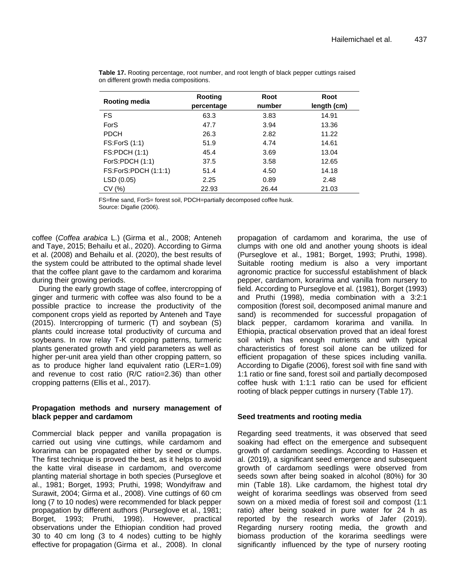| Rooting media        | Rooting    | Root<br>number | Root        |
|----------------------|------------|----------------|-------------|
|                      | percentage |                | length (cm) |
| FS.                  | 63.3       | 3.83           | 14.91       |
| <b>ForS</b>          | 47.7       | 3.94           | 13.36       |
| <b>PDCH</b>          | 26.3       | 2.82           | 11.22       |
| FS:ForS (1:1)        | 51.9       | 4.74           | 14.61       |
| <b>FS:PDCH (1:1)</b> | 45.4       | 3.69           | 13.04       |
| ForS:PDCH (1:1)      | 37.5       | 3.58           | 12.65       |
| FS:ForS:PDCH (1:1:1) | 51.4       | 4.50           | 14.18       |
| LSD(0.05)            | 2.25       | 0.89           | 2.48        |
| CV(%)                | 22.93      | 26.44          | 21.03       |

**Table 17.** Rooting percentage, root number, and root length of black pepper cuttings raised on different growth media compositions.

FS=fine sand, ForS= forest soil, PDCH=partially decomposed coffee husk. Source: Digafie (2006).

coffee (*Coffea arabica* L.) (Girma et al., 2008; Anteneh and Taye, 2015; Behailu et al., 2020). According to Girma et al. (2008) and Behailu et al. (2020), the best results of the system could be attributed to the optimal shade level that the coffee plant gave to the cardamom and korarima during their growing periods.

During the early growth stage of coffee, intercropping of ginger and turmeric with coffee was also found to be a possible practice to increase the productivity of the component crops yield as reported by Anteneh and Taye (2015). Intercropping of turmeric (T) and soybean (S) plants could increase total productivity of curcuma and soybeans. In row relay T-K cropping patterns, turmeric plants generated growth and yield parameters as well as higher per-unit area yield than other cropping pattern, so as to produce higher land equivalent ratio (LER=1.09) and revenue to cost ratio (R/C ratio=2.36) than other cropping patterns (Ellis et al., 2017).

#### **Propagation methods and nursery management of black pepper and cardamom**

Commercial black pepper and vanilla propagation is carried out using vine cuttings, while cardamom and korarima can be propagated either by seed or clumps. The first technique is proved the best, as it helps to avoid the katte viral disease in cardamom, and overcome planting material shortage in both species (Purseglove et al., 1981; Borget, 1993; Pruthi, 1998; Wondyifraw and Surawit, 2004; Girma et al., 2008). Vine cuttings of 60 cm long (7 to 10 nodes) were recommended for black pepper propagation by different authors (Purseglove et al., 1981; Borget, 1993; Pruthi, 1998). However, practical observations under the Ethiopian condition had proved 30 to 40 cm long (3 to 4 nodes) cutting to be highly effective for propagation (Girma et al., 2008). In clonal

propagation of cardamom and korarima, the use of clumps with one old and another young shoots is ideal (Purseglove et al., 1981; Borget, 1993; Pruthi, 1998). Suitable rooting medium is also a very important agronomic practice for successful establishment of black pepper, cardamom, korarima and vanilla from nursery to field. According to Purseglove et al. (1981), Borget (1993) and Pruthi (1998), media combination with a 3:2:1 composition (forest soil, decomposed animal manure and sand) is recommended for successful propagation of black pepper, cardamom korarima and vanilla. In Ethiopia, practical observation proved that an ideal forest soil which has enough nutrients and with typical characteristics of forest soil alone can be utilized for efficient propagation of these spices including vanilla. According to Digafie (2006), forest soil with fine sand with 1:1 ratio or fine sand, forest soil and partially decomposed coffee husk with 1:1:1 ratio can be used for efficient rooting of black pepper cuttings in nursery (Table 17).

## **Seed treatments and rooting media**

Regarding seed treatments, it was observed that seed soaking had effect on the emergence and subsequent growth of cardamom seedlings. According to Hassen et al. (2019), a significant seed emergence and subsequent growth of cardamom seedlings were observed from seeds sown after being soaked in alcohol (80%) for 30 min (Table 18). Like cardamom, the highest total dry weight of korarima seedlings was observed from seed sown on a mixed media of forest soil and compost (1:1 ratio) after being soaked in pure water for 24 h as reported by the research works of Jafer (2019). Regarding nursery rooting media, the growth and biomass production of the korarima seedlings were significantly influenced by the type of nursery rooting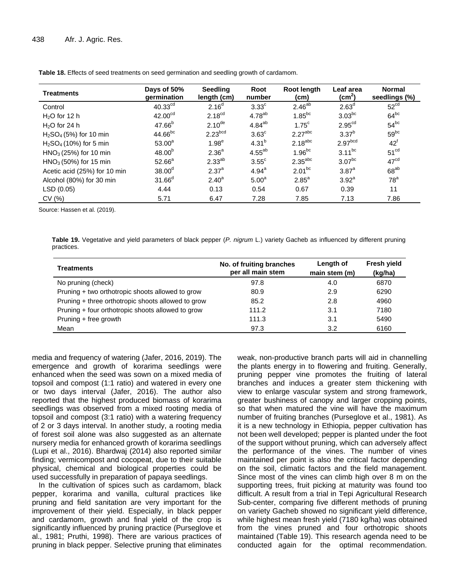| <b>Treatments</b>            | Days of 50%<br>qermination | <b>Seedling</b><br>length (cm) | Root<br>number    | Root length<br>(cm)   | Leaf area<br>$\text{(cm}^2)$ | <b>Normal</b><br>seedlings (%) |
|------------------------------|----------------------------|--------------------------------|-------------------|-----------------------|------------------------------|--------------------------------|
| Control                      | 40.33 <sup>cd</sup>        | $2.16^{d}$                     | $3.33^{\circ}$    | $2.46^{ab}$           | 2.63 <sup>d</sup>            | 52 <sup>cd</sup>               |
| $H2O$ for 12 h               | 42.00 <sup>cd</sup>        | 2.18 <sup>cd</sup>             | $4.78^{ab}$       | $1.85^{bc}$           | $3.03$ <sub>bc</sub>         | $64^{bc}$                      |
| $H2O$ for 24 h               | $47.66^{b}$                | $2.10^{\text{de}}$             | $4.84^{ab}$       | $1.75^{\circ}$        | 2.95 <sup>cd</sup>           | $54^{bc}$                      |
| $H2SO4$ (5%) for 10 min      | 44.66 <sup>bc</sup>        | $2.23$ <sub>bcd</sub>          | $3.63^{\circ}$    | $2.27$ <sup>abc</sup> | 3.37 <sup>b</sup>            | $59^{bc}$                      |
| $H2SO4$ (10%) for 5 min      | $53.00^a$                  | 1.98 <sup>e</sup>              | $4.31^{b}$        | $2.18^{abc}$          | 2.97 <sup>bcd</sup>          | $42^f$                         |
| $HNO3$ (25%) for 10 min      | $48.00^{b}$                | 2.36 <sup>a</sup>              | $4.55^{ab}$       | $1.96^{bc}$           | $3.11^{bc}$                  | 51 <sup>cd</sup>               |
| $HNO3$ (50%) for 15 min      | $52.66^a$                  | $2.33^{ab}$                    | $3.55^{\circ}$    | $2.35$ <sup>abc</sup> | 3.07 <sup>bc</sup>           | 47 <sup>cd</sup>               |
| Acetic acid (25%) for 10 min | 38.00 <sup>d</sup>         | $2.37^{a}$                     | $4.94^a$          | $2.01^{bc}$           | $3.87^{a}$                   | $68^{ab}$                      |
| Alcohol (80%) for 30 min     | 31.66 <sup>d</sup>         | $2.40^a$                       | 5.00 <sup>a</sup> | $2.85^a$              | 3.92 <sup>a</sup>            | 78 <sup>a</sup>                |
| LSD (0.05)                   | 4.44                       | 0.13                           | 0.54              | 0.67                  | 0.39                         | 11                             |
| CV(%)                        | 5.71                       | 6.47                           | 7.28              | 7.85                  | 7.13                         | 7.86                           |

**Table 18.** Effects of seed treatments on seed germination and seedling growth of cardamom.

Source: Hassen et al. (2019).

**Table 19.** Vegetative and yield parameters of black pepper (*P. nigrum* L.) variety Gacheb as influenced by different pruning practices.

| Treatments                                         | No. of fruiting branches<br>per all main stem | Length of<br>main stem (m) | <b>Fresh yield</b><br>(kg/ha) |
|----------------------------------------------------|-----------------------------------------------|----------------------------|-------------------------------|
| No pruning (check)                                 | 97.8                                          | 4.0                        | 6870                          |
| Pruning + two orthotropic shoots allowed to grow   | 80.9                                          | 2.9                        | 6290                          |
| Pruning + three orthotropic shoots allowed to grow | 85.2                                          | 2.8                        | 4960                          |
| Pruning + four orthotropic shoots allowed to grow  | 111.2                                         | 3.1                        | 7180                          |
| Pruning + free growth                              | 111.3                                         | 3.1                        | 5490                          |
| Mean                                               | 97.3                                          | 3.2                        | 6160                          |

media and frequency of watering (Jafer, 2016, 2019). The emergence and growth of korarima seedlings were enhanced when the seed was sown on a mixed media of topsoil and compost (1:1 ratio) and watered in every one or two days interval (Jafer, 2016). The author also reported that the highest produced biomass of korarima seedlings was observed from a mixed rooting media of topsoil and compost (3:1 ratio) with a watering frequency of 2 or 3 days interval. In another study, a rooting media of forest soil alone was also suggested as an alternate nursery media for enhanced growth of korarima seedlings (Lupi et al., 2016). Bhardwaj (2014) also reported similar finding; vermicompost and cocopeat, due to their suitable physical, chemical and biological properties could be used successfully in preparation of papaya seedlings.

In the cultivation of spices such as cardamom, black pepper, korarima and vanilla, cultural practices like pruning and field sanitation are very important for the improvement of their yield. Especially, in black pepper and cardamom, growth and final yield of the crop is significantly influenced by pruning practice (Purseglove et al., 1981; Pruthi, 1998). There are various practices of pruning in black pepper. Selective pruning that eliminates weak, non-productive branch parts will aid in channelling the plants energy in to flowering and fruiting. Generally, pruning pepper vine promotes the fruiting of lateral branches and induces a greater stem thickening with view to enlarge vascular system and strong framework, greater bushiness of canopy and larger cropping points, so that when matured the vine will have the maximum number of fruiting branches (Purseglove et al., 1981). As it is a new technology in Ethiopia, pepper cultivation has not been well developed; pepper is planted under the foot of the support without pruning, which can adversely affect the performance of the vines. The number of vines maintained per point is also the critical factor depending on the soil, climatic factors and the field management. Since most of the vines can climb high over 8 m on the supporting trees, fruit picking at maturity was found too difficult. A result from a trial in Tepi Agricultural Research Sub-center, comparing five different methods of pruning on variety Gacheb showed no significant yield difference, while highest mean fresh yield (7180 kg/ha) was obtained from the vines pruned and four orthotropic shoots maintained (Table 19). This research agenda need to be conducted again for the optimal recommendation.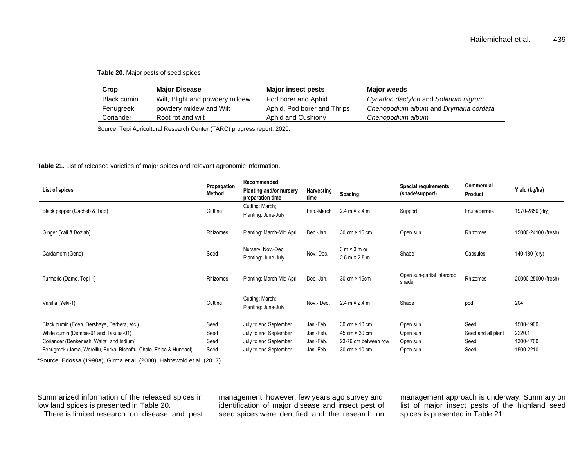#### **Table 20.** Major pests of seed spices

| Crop        | <b>Maior Disease</b>            | <b>Major insect pests</b>   | <b>Maior weeds</b>                     |
|-------------|---------------------------------|-----------------------------|----------------------------------------|
| Black cumin | Wilt, Blight and powdery mildew | Pod borer and Aphid         | Cynadon dactylon and Solanum nigrum    |
| Fenugreek   | powdery mildew and Wilt         | Aphid, Pod borer and Thrips | Chenopodium album and Drymaria cordata |
| Coriander   | Root rot and wilt               | Aphid and Cushiony          | Chenopodium album                      |

Source: Tepi Agricultural Research Center (TARC) progress report, 2020.

#### **Table 21.** List of released varieties of major spices and relevant agronomic information.

|                                                                     |                       | Recommended                                 |                    |                                             | Commercial                                     |                       |                     |
|---------------------------------------------------------------------|-----------------------|---------------------------------------------|--------------------|---------------------------------------------|------------------------------------------------|-----------------------|---------------------|
| List of spices                                                      | Propagation<br>Method | Planting and/or nursery<br>preparation time | Harvesting<br>time | Spacing                                     | <b>Special requirements</b><br>(shade/support) | <b>Product</b>        | Yield (kg/ha)       |
| Black pepper (Gacheb & Tato)                                        | Cutting               | Cutting: March;<br>Planting: June-July      | Feb.-March         | $2.4 m \times 2.4 m$                        | Support                                        | <b>Fruits/Berries</b> | 1970-2850 (dry)     |
| Ginger (Yali & Boziab)                                              | Rhizomes              | Planting: March-Mid April                   | Dec.-Jan.          | 30 cm × 15 cm                               | Open sun                                       | Rhizomes              | 15000-24100 (fresh) |
| Cardamom (Gene)                                                     | Seed                  | Nursery: Nov.-Dec.<br>Planting: June-July   | Nov.-Dec.          | $3 m \times 3 m$ or<br>$2.5 m \times 2.5 m$ | Shade                                          | Capsules              | 140-180 (dry)       |
| Turmeric (Dame, Tepi-1)                                             | Rhizomes              | Planting: March-Mid April                   | Dec.-Jan.          | 30 cm × 15cm                                | Open sun-partial intercrop<br>shade            | Rhizomes              | 20000-25000 (fresh) |
| Vanilla (Yeki-1)                                                    | Cutting               | Cutting: March;<br>Planting: June-July      | Nov - Dec.         | $2.4 \text{ m} \times 2.4 \text{ m}$        | Shade                                          | pod                   | 204                 |
| Black cumin (Eden, Dershaye, Darbera, etc.)                         | Seed                  | July to end September                       | Jan -Feb.          | 30 cm × 10 cm                               | Open sun                                       | Seed                  | 1500-1900           |
| White cumin (Dembia-01 and Takusa-01)                               | Seed                  | July to end September                       | Jan.-Feb.          | $45 \text{ cm} \times 30 \text{ cm}$        | Open sun                                       | Seed and all plant    | 2220.1              |
| Coriander (Denkenesh, Walta'i and Indium)                           | Seed                  | July to end September                       | Jan.-Feb.          | 23-76 cm between row                        | Open sun                                       | Seed                  | 1300-1700           |
| Fenugreek (Jama, Wereillu, Burka, Bishoftu, Chala, Ebisa & Hundaol) | Seed                  | July to end September                       | Jan.-Feb.          | 30 cm × 10 cm                               | Open sun                                       | Seed                  | 1500-2210           |

**\***Source: Edossa (1998a), Girma et al. (2008), Habtewold et al. (2017).

Summarized information of the released spices in low land spices is presented in Table 20. There is limited research on disease and pest management; however, few years ago survey and identification of major disease and insect pest of seed spices were identified and the research on management approach is underway. Summary on list of major insect pests of the highland seed spices is presented in Table 21.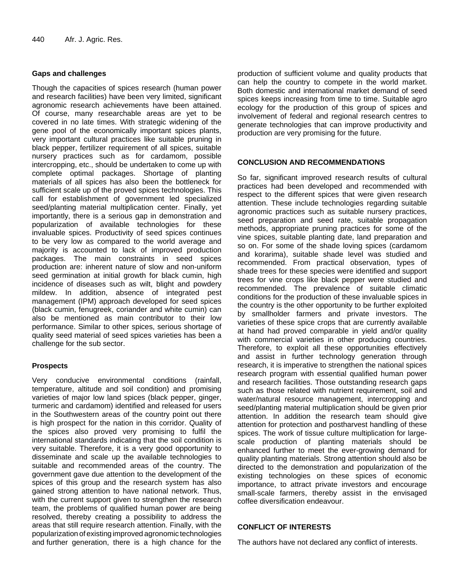### **Gaps and challenges**

Though the capacities of spices research (human power and research facilities) have been very limited, significant agronomic research achievements have been attained. Of course, many researchable areas are yet to be covered in no late times. With strategic widening of the gene pool of the economically important spices plants, very important cultural practices like suitable pruning in black pepper, fertilizer requirement of all spices, suitable nursery practices such as for cardamom, possible intercropping, etc., should be undertaken to come up with complete optimal packages. Shortage of planting materials of all spices has also been the bottleneck for sufficient scale up of the proved spices technologies. This call for establishment of government led specialized seed/planting material multiplication center. Finally, yet importantly, there is a serious gap in demonstration and popularization of available technologies for these invaluable spices. Productivity of seed spices continues to be very low as compared to the world average and majority is accounted to lack of improved production packages. The main constraints in seed spices production are: inherent nature of slow and non-uniform seed germination at initial growth for black cumin, high incidence of diseases such as wilt, blight and powdery mildew. In addition, absence of integrated pest management (IPM) approach developed for seed spices (black cumin, fenugreek, coriander and white cumin) can also be mentioned as main contributor to their low performance. Similar to other spices, serious shortage of quality seed material of seed spices varieties has been a challenge for the sub sector.

## **Prospects**

Very conducive environmental conditions (rainfall, temperature, altitude and soil condition) and promising varieties of major low land spices (black pepper, ginger, turmeric and cardamom) identified and released for users in the Southwestern areas of the country point out there is high prospect for the nation in this corridor. Quality of the spices also proved very promising to fulfil the international standards indicating that the soil condition is very suitable. Therefore, it is a very good opportunity to disseminate and scale up the available technologies to suitable and recommended areas of the country. The government gave due attention to the development of the spices of this group and the research system has also gained strong attention to have national network. Thus, with the current support given to strengthen the research team, the problems of qualified human power are being resolved, thereby creating a possibility to address the areas that still require research attention. Finally, with the popularization of existing improved agronomic technologies and further generation, there is a high chance for the

production of sufficient volume and quality products that can help the country to compete in the world market. Both domestic and international market demand of seed spices keeps increasing from time to time. Suitable agro ecology for the production of this group of spices and involvement of federal and regional research centres to generate technologies that can improve productivity and production are very promising for the future.

#### **CONCLUSION AND RECOMMENDATIONS**

So far, significant improved research results of cultural practices had been developed and recommended with respect to the different spices that were given research attention. These include technologies regarding suitable agronomic practices such as suitable nursery practices, seed preparation and seed rate, suitable propagation methods, appropriate pruning practices for some of the vine spices, suitable planting date, land preparation and so on. For some of the shade loving spices (cardamom and korarima), suitable shade level was studied and recommended. From practical observation, types of shade trees for these species were identified and support trees for vine crops like black pepper were studied and recommended. The prevalence of suitable climatic conditions for the production of these invaluable spices in the country is the other opportunity to be further exploited by smallholder farmers and private investors. The varieties of these spice crops that are currently available at hand had proved comparable in yield and/or quality with commercial varieties in other producing countries. Therefore, to exploit all these opportunities effectively and assist in further technology generation through research, it is imperative to strengthen the national spices research program with essential qualified human power and research facilities. Those outstanding research gaps such as those related with nutrient requirement, soil and water/natural resource management, intercropping and seed/planting material multiplication should be given prior attention. In addition the research team should give attention for protection and postharvest handling of these spices. The work of tissue culture multiplication for largescale production of planting materials should be enhanced further to meet the ever-growing demand for quality planting materials. Strong attention should also be directed to the demonstration and popularization of the existing technologies on these spices of economic importance, to attract private investors and encourage small-scale farmers, thereby assist in the envisaged coffee diversification endeavour.

#### **CONFLICT OF INTERESTS**

The authors have not declared any conflict of interests.